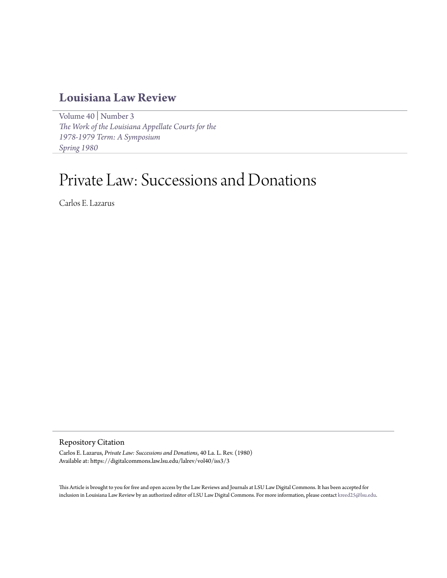# **[Louisiana Law Review](https://digitalcommons.law.lsu.edu/lalrev)**

[Volume 40](https://digitalcommons.law.lsu.edu/lalrev/vol40) | [Number 3](https://digitalcommons.law.lsu.edu/lalrev/vol40/iss3) *[The Work of the Louisiana Appellate Courts for the](https://digitalcommons.law.lsu.edu/lalrev/vol40/iss3) [1978-1979 Term: A Symposium](https://digitalcommons.law.lsu.edu/lalrev/vol40/iss3) [Spring 1980](https://digitalcommons.law.lsu.edu/lalrev/vol40/iss3)*

# Private Law: Successions and Donations

Carlos E. Lazarus

## Repository Citation

Carlos E. Lazarus, *Private Law: Successions and Donations*, 40 La. L. Rev. (1980) Available at: https://digitalcommons.law.lsu.edu/lalrev/vol40/iss3/3

This Article is brought to you for free and open access by the Law Reviews and Journals at LSU Law Digital Commons. It has been accepted for inclusion in Louisiana Law Review by an authorized editor of LSU Law Digital Commons. For more information, please contact [kreed25@lsu.edu](mailto:kreed25@lsu.edu).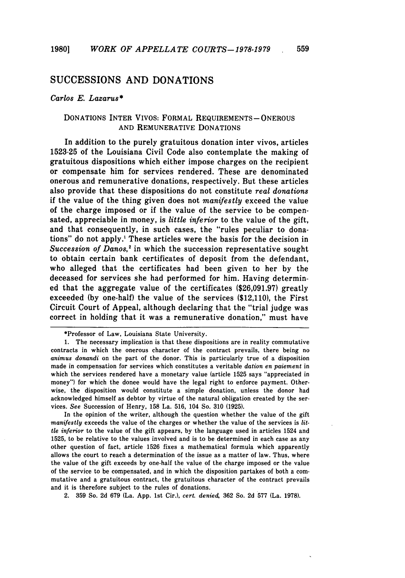# **SUCCESSIONS AND** DONATIONS

#### *Carlos E. Lazarus\**

### DONATIONS INTER VIVOS: FORMAL REQUIREMENTS-ONEROUS AND REMUNERATIVE DONATIONS

In addition to the purely gratuitous donation inter vivos, articles 1523-25 of the Louisiana Civil Code also contemplate the making of gratuitous dispositions which either impose charges on the recipient or compensate him for services rendered. These are denominated onerous and remunerative donations, respectively. But these articles also provide that these dispositions do not constitute *real donations* if the value of the thing given does not *manifestly* exceed the value of the charge imposed or if the value of the service to be compensated, appreciable in money, is *little inferior* to the value of the gift, and that consequently, in such cases, the "rules peculiar to donations" do not apply.' These articles were the basis for the decision in *Succession of Danos,2* in which the succession representative sought to obtain certain bank certificates of deposit from the defendant, who alleged that the certificates had been given to her by the deceased for services she had performed for him. Having determined that the aggregate value of the certificates (\$26,091.97) greatly exceeded **(by** one-half) the value of the services (\$12,110), the First Circuit Court of Appeal, although declaring that the "trial judge was correct in holding that it was a remunerative donation," must have

In the opinion of the writer, although the question whether the value of the gift *manifestly* exceeds the value of the charges or whether the value of the services is *little inferior* to the value of the gift appears, by the language used in articles 1524 and 1525, to be relative to the values involved and is to be determined in each case as any other question of fact, article 1526 fixes a mathematical formula which apparently allows the court to reach a determination of the issue as a matter of law. Thus, where the value of the gift exceeds by one-half the value of the charge imposed or the value of the service to be compensated, and in which the disposition partakes of both a commutative and a gratuitous contract, the gratuitous character of the contract prevails and it is therefore subject to the rules of donations.

2. 359 So. 2d 679 (La. App. 1st Cir.), *cert. denied,* 362 So. 2d **577** (La. 1978).

<sup>\*</sup>Professor of Law, Louisiana State University.

<sup>1.</sup> The necessary implication is that these dispositions are in reality commutative contracts in which the onerous character of the contract prevails, there being no *animus donandi* on the part of the donor. This is particularly true of a disposition made in compensation for services which constitutes a veritable *dation en paiement* in which the services rendered have a monetary value (article 1525 says "appreciated in money") for which the donee would have the legal right to enforce payment. Otherwise, the disposition would constitute a simple donation, unless the donor had acknowledged himself as debtor by virtue of the natural obligation created by the services. *See* Succession of Henry, 158 La. 516, 104 So. 310 (1925).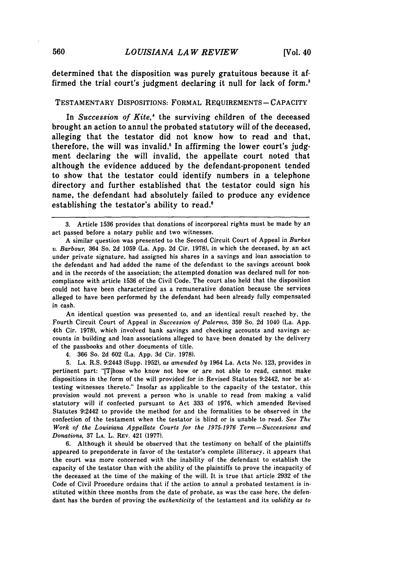determined that the disposition was purely gratuitous because it affirmed the trial court's judgment declaring it null for lack of form.'

#### **TESTAMENTARY DISPOSITIONS: FORMAL REQUIREMENTS-CAPACITY**

In *Succession of Kite,"* the surviving children of the deceased brought an action to annul the probated statutory will of the deceased, alleging that the testator did not know how to read and that, therefore, the will was invalid.' In affirming the lower court's **judg**ment declaring the will invalid, the appellate court noted that although the evidence adduced **by** the defendant-proponent tended to show that the testator could identify numbers in a telephone directory and further established that the testator could sign his name, the defendant had absolutely failed to produce any evidence establishing the testator's ability to read.<sup>6</sup>

An identical question was presented to, and an identical result reached **by,** the Fourth Circuit Court of Appeal in *Succession of Palermo,* **359** So. **2d** 1040 (La. **App.** 4th Cir. **1978),** which involved bank savings and checking accounts and savings accounts in building and loan associations alleged to have been donated **by** the delivery of the passbooks and other documents of title.

4. **366** So. **2d 602** (La. **App. 3d** Cir. **1978).**

**5. LA.** R.S. 9:2443 (Supp. **1952),** *as amended by* 1964 La. Acts No. 123, provides in pertinent part: "[Tihose who know not how or are not able to read, cannot make dispositions in the form of the will provided for in Revised Statutes 9:2442, nor be attesting witnesses thereto." Insofar as applicable to the capacity of the testator, this provision would not prevent a person who is unable to read from making a valid statutory will if confected pursuant to Act 333 of 1976, which amended Revised Statutes 9:2442 to provide the method for and the formalities to be observed in the confection of the testament when the testator is blind or is unable to read. *See The Work of the Louisiana Appellate Courts for the 1975-1976 Term-Successions and Donations,* 37 **LA.** L. REv. 421 (1977).

6. Although it should be observed that the testimony on behalf of the plaintiffs appeared to preponderate in favor of the testator's complete illiteracy, it appears that the court was more concerned with the inability of the defendant to establish the capacity of the testator than with the ability of the plaintiffs to prove the incapacity of the deceased at the time of the making of the will. It is true that article 2932 of the Code of Civil Procedure ordains that if the action to annul a probated testament is instituted within three months from the date of probate, as was the case here, the defendant has the burden of proving the *authenticity* of the testament and its *validity as to*

**<sup>3.</sup>** Article **1536** provides that donations of incorporeal rights must be made **by** an act passed before a notary public and two witnesses.

**A** similar question was presented to the Second Circuit Court of Appeal in *Burkes v. Barbour,* 364 So. **2d 1059** (La. **App. 2d** Cir. **1978),** in which the deceased, **by** an act under private signature, had assigned his shares in a savings and loan association to the defendant and had added the name of the defendant to the savings account book and in the records of the association; the attempted donation was declared null for noncompliance with article **1536** of the Civil Code. The court also held that the disposition could not have been characterized as a remunerative donation because the services alleged to have been performed **by** the defendant had been already fully compensated in cash.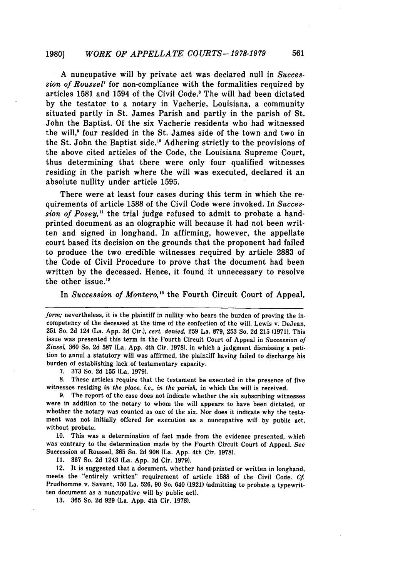A nuncupative will by private act was declared null in *Succession of Roussel7* for non-compliance with the formalities required by articles 1581 and 1594 of the Civil Code.' The will had been dictated by the testator to a notary in Vacherie, Louisiana, a community situated partly in St. James Parish and partly in the parish of St. John the Baptist. Of the six Vacherie residents who had witnessed the will.<sup>9</sup> four resided in the St. James side of the town and two in the St. John the Baptist side. 10 Adhering strictly to the provisions of the above cited articles of the Code, the Louisiana Supreme Court, thus determining that there were only four qualified witnesses residing in the parish where the will was executed, declared it an absolute nullity under article 1595.

There were at least four cases during this term in which the requirements of article 1588 of the Civil Code were invoked. In *Succession of Posey,"* the trial judge refused to admit to probate a handprinted document as an olographic will because it had not been written and signed in longhand. In affirming, however, the appellate court based its decision on the grounds that the proponent had failed to produce the two credible witnesses required by article 2883 of the Code of Civil Procedure to prove that the document had been written by the deceased. Hence, it found it unnecessary to resolve the other issue.<sup>12</sup>

In *Succession of Montero*,<sup>13</sup> the Fourth Circuit Court of Appeal,

7. 373 So. 2d **155** (La. 1979).

8. These articles require that the testament be executed in the presence of five witnesses residing *in the place, ie., in the parish,* in which the will is received.

**9.** The report of the case does not indicate whether the six subscribing witnesses were in addition to the notary to whom the will appears to have been dictated, or whether the notary was counted as one of the six. Nor does it indicate why the testament was not initially offered for execution as a nuncupative will **by** public act, without probate.

**10.** This was a determination of fact made from the evidence presented, which was contrary to the determination made **by** the Fourth Circuit Court of Appeal. *See* Succession of Roussel, **365** So. **2d 908** (La. **App.** 4th Cir. **1978).**

**11. 367** So. **2d** 1243 (La. **App. 3d** Cir. **1979).**

12. It is suggested that a document, whether hand-printed or written in longhand, meets the "entirely written" requirement of article **1588** of the Civil Code. *Cf.* Prudhomme v. Savant, **150** La. **526, 90** So. 640 **(1921)** (admitting to probate a typewritten document as a nuncupative will **by** public act).

**13. 365** So. **2d 929** (La. **App.** 4th Cir. **1978).**

form; nevertheless, it is the plaintiff in nullity who bears the burden of proving the incompetency of the deceased at the time of the confection of the will. Lewis v. Dejean, **251** So. 2d 124 (La. App. 3d Cir.), *cert. denied,* 259 La. 879, **253** So. 2d 215 (1971). This issue was presented this term in the Fourth Circuit Court of Appeal in *Succession of Zinsel,* **360** So. 2d 587 (La. App. 4th Cir. 1978), in which a judgment dismissing a petition to annul a statutory will was affirmed, the plaintiff having failed to discharge his burden of establishing lack of testamentary capacity.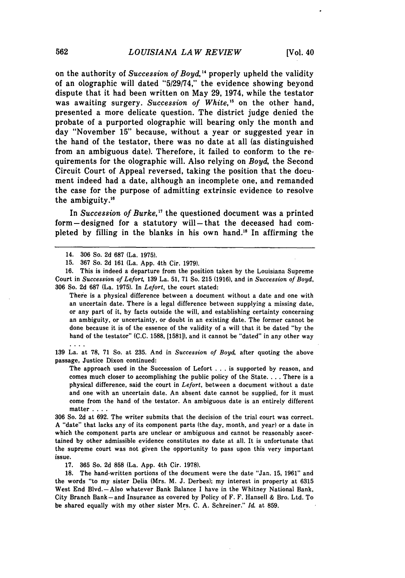on the authority of *Succession of Boyd*,<sup>14</sup> properly upheld the validity of an olographic will dated "5/29/74," the evidence showing beyond dispute that it had been written on May 29, 1974, while the testator was awaiting surgery. *Succession of White,"* on the other hand, presented a more delicate question. The district judge denied the probate of a purported olographic will bearing only the month and day "November 15" because, without a year or suggested year in the hand of the testator, there was no date at all (as distinguished from an ambiguous date). Therefore, it failed to conform to the requirements for the olographic will. Also relying on *Boyd,* the Second Circuit Court of Appeal reversed, taking the position that the document indeed had a date, although an incomplete one, and remanded the case for the purpose of admitting extrinsic evidence to resolve the ambiguity."

In *Succession of Burke,17* the questioned document was a printed form-designed for a statutory will-that the deceased had completed by filling in the blanks in his own hand."8 In affirming the

 $\mathbf{r}$  . The set of  $\mathbf{r}$ 

16. This is indeed a departure from the position taken by the Louisiana Supreme Court in *Succession of Lefor* 139 La. 51, 71 So. 215 (1916), and in *Succession of Boyd,* 306 So. 2d 687 (La. 1975). In *Lefort,* the court stated:

There is a physical difference between a document without a date and one with an uncertain date. There is a legal difference between supplying a missing date, or any part of it, by facts outside the will, and establishing certainty concerning an ambiguity, or uncertainty, or doubt in an existing date. The former cannot be done because it is of the essence of the validity of a will that it be dated "by the hand of the testator" **(C.C.** 1588, [1581]), and it cannot be "dated" in any other way

139 La. at 78, 71 So. at 235. And in *Succession of Boyd,* after quoting the above passage, Justice Dixon continued:

The approach used in the Succession of Lefort . . . is supported by reason, and comes much closer to accomplishing the public policy of the State **....** There is a physical difference, said the court in *Lefort,* between a document without a date and one with an uncertain date. An absent date cannot be supplied, for it must come from the hand of the testator. An ambiguous date is an entirely different matter **....**

306 So. 2d at 692. The writer submits that the decision of the trial court was correct. A "date" that lacks any of its component parts (the day, month, and year) or a date in which the component parts are unclear or ambiguous and cannot be reasonably ascertained by other admissible evidence constitutes no date at all. It is unfortunate that the supreme court was not given the opportunity to pass upon this very important issue.

**17. 365** So. **2d 858** (La. **App.** 4th Cir. **1978).**

**18.** The hand-written portions of the document were the date "Jan. **15, 1961"** and the words "to my sister Delia (Mrs. M. **J.** Derbes); my interest in property at **6315** West End Blvd.-Also whatever Bank Balance **I** have in the Whitney National Bank, City Branch Bank-and Insurance as covered **by** Policy of F. F. Hansell **&** Bro. Ltd. To be shared equally with my other sister Mrs. **C. A.** Schreiner." *Id.* at **859.**

<sup>14. 306</sup> So. 2d 687 (La. 1975).

<sup>15. 367</sup> So. 2d 161 (La. App. 4th Cir. 1979).